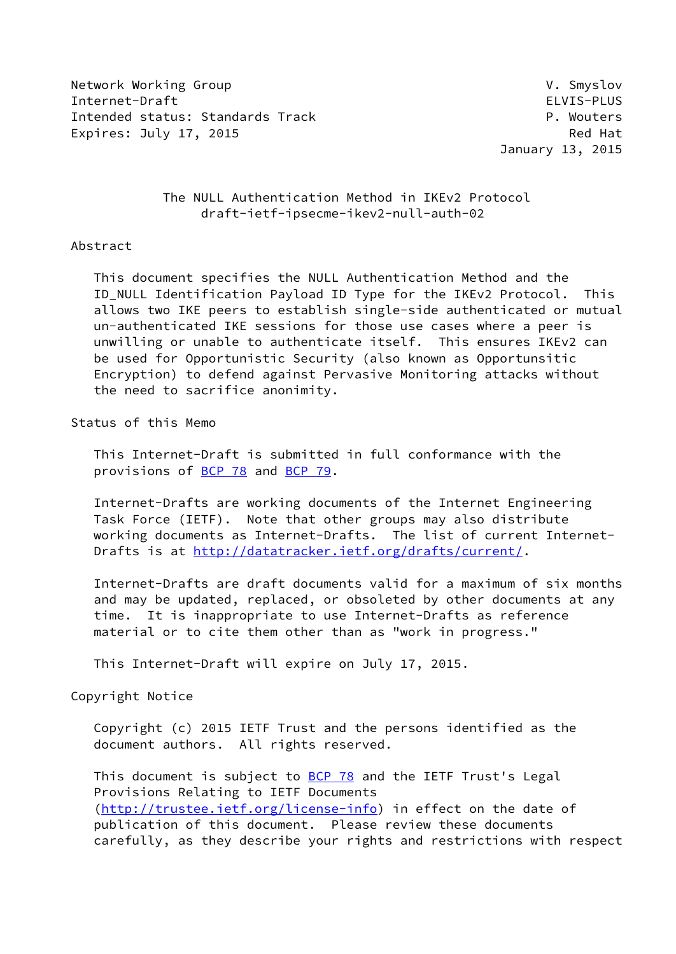Network Working Group **V. Smyslov** V. Smyslov Internet-Draft ELVIS-PLUS Intended status: Standards Track P. Wouters Expires: July 17, 2015 **Red Hat** 

January 13, 2015

 The NULL Authentication Method in IKEv2 Protocol draft-ietf-ipsecme-ikev2-null-auth-02

#### Abstract

 This document specifies the NULL Authentication Method and the ID\_NULL Identification Payload ID Type for the IKEv2 Protocol. This allows two IKE peers to establish single-side authenticated or mutual un-authenticated IKE sessions for those use cases where a peer is unwilling or unable to authenticate itself. This ensures IKEv2 can be used for Opportunistic Security (also known as Opportunsitic Encryption) to defend against Pervasive Monitoring attacks without the need to sacrifice anonimity.

Status of this Memo

 This Internet-Draft is submitted in full conformance with the provisions of [BCP 78](https://datatracker.ietf.org/doc/pdf/bcp78) and [BCP 79](https://datatracker.ietf.org/doc/pdf/bcp79).

 Internet-Drafts are working documents of the Internet Engineering Task Force (IETF). Note that other groups may also distribute working documents as Internet-Drafts. The list of current Internet- Drafts is at<http://datatracker.ietf.org/drafts/current/>.

 Internet-Drafts are draft documents valid for a maximum of six months and may be updated, replaced, or obsoleted by other documents at any time. It is inappropriate to use Internet-Drafts as reference material or to cite them other than as "work in progress."

This Internet-Draft will expire on July 17, 2015.

Copyright Notice

 Copyright (c) 2015 IETF Trust and the persons identified as the document authors. All rights reserved.

This document is subject to **[BCP 78](https://datatracker.ietf.org/doc/pdf/bcp78)** and the IETF Trust's Legal Provisions Relating to IETF Documents [\(http://trustee.ietf.org/license-info](http://trustee.ietf.org/license-info)) in effect on the date of publication of this document. Please review these documents carefully, as they describe your rights and restrictions with respect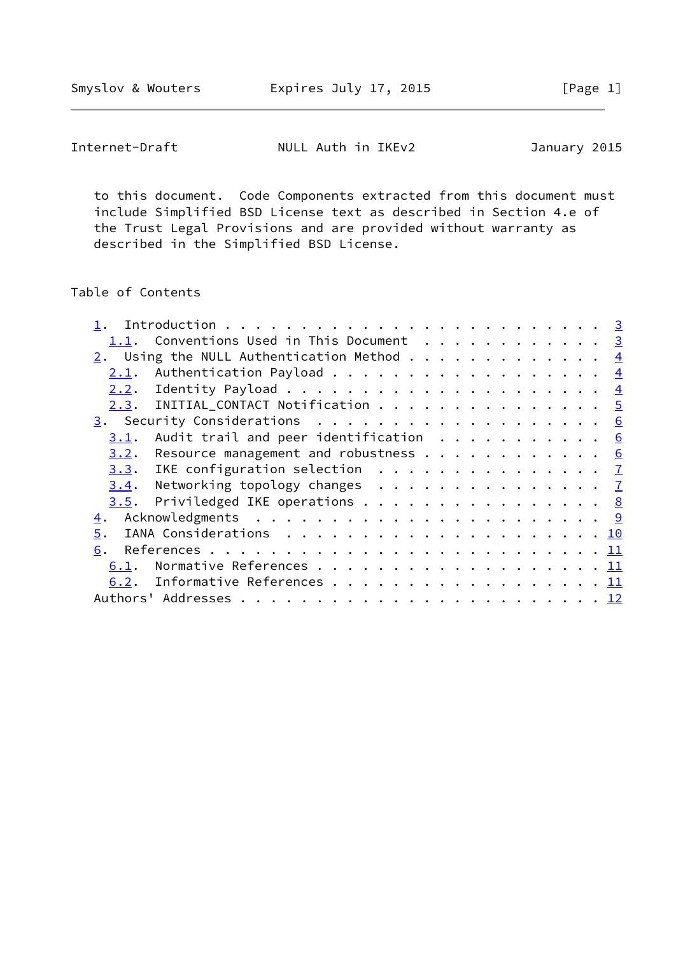Smyslov & Wouters **Expires July 17, 2015** [Page 1]

Internet-Draft NULL Auth in IKEv2 January 2015

 to this document. Code Components extracted from this document must include Simplified BSD License text as described in Section 4.e of the Trust Legal Provisions and are provided without warranty as described in the Simplified BSD License.

# Table of Contents

| 2.1. |          |                                                                                                                                                                                                                                                                                                                                                                                                                                                                               |
|------|----------|-------------------------------------------------------------------------------------------------------------------------------------------------------------------------------------------------------------------------------------------------------------------------------------------------------------------------------------------------------------------------------------------------------------------------------------------------------------------------------|
|      |          |                                                                                                                                                                                                                                                                                                                                                                                                                                                                               |
|      |          |                                                                                                                                                                                                                                                                                                                                                                                                                                                                               |
|      |          |                                                                                                                                                                                                                                                                                                                                                                                                                                                                               |
| 3.1. |          |                                                                                                                                                                                                                                                                                                                                                                                                                                                                               |
|      |          |                                                                                                                                                                                                                                                                                                                                                                                                                                                                               |
|      |          |                                                                                                                                                                                                                                                                                                                                                                                                                                                                               |
| 3.4. |          |                                                                                                                                                                                                                                                                                                                                                                                                                                                                               |
|      |          |                                                                                                                                                                                                                                                                                                                                                                                                                                                                               |
|      |          |                                                                                                                                                                                                                                                                                                                                                                                                                                                                               |
|      |          |                                                                                                                                                                                                                                                                                                                                                                                                                                                                               |
|      |          |                                                                                                                                                                                                                                                                                                                                                                                                                                                                               |
| 6.1. |          |                                                                                                                                                                                                                                                                                                                                                                                                                                                                               |
| 6.2. |          |                                                                                                                                                                                                                                                                                                                                                                                                                                                                               |
|      |          |                                                                                                                                                                                                                                                                                                                                                                                                                                                                               |
|      | 5.<br>6. | 1.1. Conventions Used in This Document 3<br>2. Using the NULL Authentication Method $\frac{4}{5}$<br>Authentication Payload $\frac{4}{5}$<br>$2.3.$ INITIAL_CONTACT Notification 5<br>Audit trail and peer identification $\cdots$ 6<br>$3.2$ . Resource management and robustness 6<br>3.3. IKE configuration selection $\frac{7}{2}$<br>Networking topology changes $\ldots$ $\frac{7}{2}$<br>$\underline{3.5}$ . Priviledged IKE operations 8<br>Informative References 11 |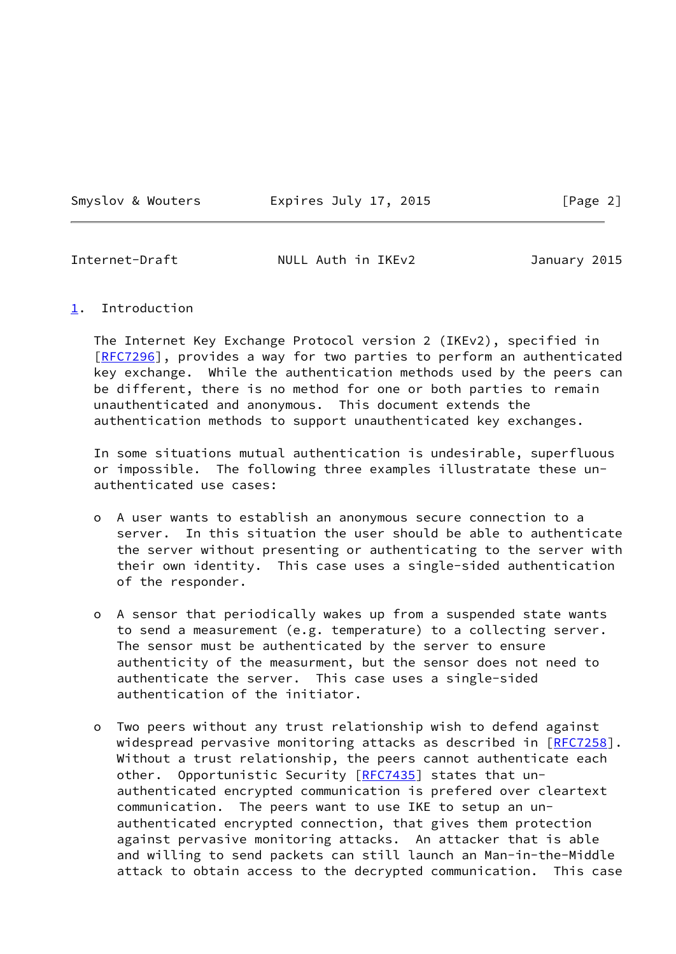Smyslov & Wouters **Expires July 17, 2015** [Page 2]

<span id="page-2-1"></span>Internet-Draft NULL Auth in IKEv2 January 2015

<span id="page-2-0"></span>[1](#page-2-0). Introduction

 The Internet Key Exchange Protocol version 2 (IKEv2), specified in [\[RFC7296](https://datatracker.ietf.org/doc/pdf/rfc7296)], provides a way for two parties to perform an authenticated key exchange. While the authentication methods used by the peers can be different, there is no method for one or both parties to remain unauthenticated and anonymous. This document extends the authentication methods to support unauthenticated key exchanges.

 In some situations mutual authentication is undesirable, superfluous or impossible. The following three examples illustratate these un authenticated use cases:

- o A user wants to establish an anonymous secure connection to a server. In this situation the user should be able to authenticate the server without presenting or authenticating to the server with their own identity. This case uses a single-sided authentication of the responder.
- o A sensor that periodically wakes up from a suspended state wants to send a measurement (e.g. temperature) to a collecting server. The sensor must be authenticated by the server to ensure authenticity of the measurment, but the sensor does not need to authenticate the server. This case uses a single-sided authentication of the initiator.
- o Two peers without any trust relationship wish to defend against widespread pervasive monitoring attacks as described in [[RFC7258\]](https://datatracker.ietf.org/doc/pdf/rfc7258). Without a trust relationship, the peers cannot authenticate each other. Opportunistic Security [[RFC7435](https://datatracker.ietf.org/doc/pdf/rfc7435)] states that un authenticated encrypted communication is prefered over cleartext communication. The peers want to use IKE to setup an un authenticated encrypted connection, that gives them protection against pervasive monitoring attacks. An attacker that is able and willing to send packets can still launch an Man-in-the-Middle attack to obtain access to the decrypted communication. This case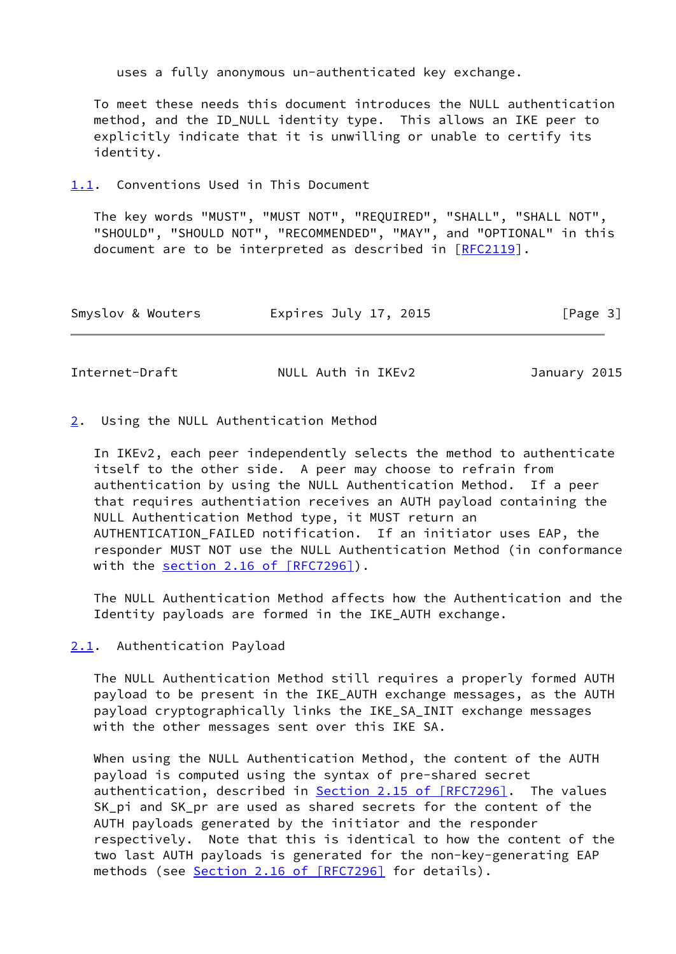uses a fully anonymous un-authenticated key exchange.

 To meet these needs this document introduces the NULL authentication method, and the ID\_NULL identity type. This allows an IKE peer to explicitly indicate that it is unwilling or unable to certify its identity.

<span id="page-3-0"></span>[1.1](#page-3-0). Conventions Used in This Document

 The key words "MUST", "MUST NOT", "REQUIRED", "SHALL", "SHALL NOT", "SHOULD", "SHOULD NOT", "RECOMMENDED", "MAY", and "OPTIONAL" in this document are to be interpreted as described in [\[RFC2119](https://datatracker.ietf.org/doc/pdf/rfc2119)].

| Smyslov & Wouters | Expires July 17, 2015 | [Page 3] |
|-------------------|-----------------------|----------|
|-------------------|-----------------------|----------|

<span id="page-3-2"></span>Internet-Draft NULL Auth in IKEv2 January 2015

#### <span id="page-3-1"></span>[2](#page-3-1). Using the NULL Authentication Method

 In IKEv2, each peer independently selects the method to authenticate itself to the other side. A peer may choose to refrain from authentication by using the NULL Authentication Method. If a peer that requires authentiation receives an AUTH payload containing the NULL Authentication Method type, it MUST return an AUTHENTICATION\_FAILED notification. If an initiator uses EAP, the responder MUST NOT use the NULL Authentication Method (in conformance with the section [2.16 of \[RFC7296\]](https://datatracker.ietf.org/doc/pdf/rfc7296#section-2.16)).

 The NULL Authentication Method affects how the Authentication and the Identity payloads are formed in the IKE\_AUTH exchange.

<span id="page-3-3"></span>[2.1](#page-3-3). Authentication Payload

 The NULL Authentication Method still requires a properly formed AUTH payload to be present in the IKE\_AUTH exchange messages, as the AUTH payload cryptographically links the IKE\_SA\_INIT exchange messages with the other messages sent over this IKE SA.

 When using the NULL Authentication Method, the content of the AUTH payload is computed using the syntax of pre-shared secret authentication, described in Section [2.15 of \[RFC7296\]](https://datatracker.ietf.org/doc/pdf/rfc7296#section-2.15). The values SK pi and SK pr are used as shared secrets for the content of the AUTH payloads generated by the initiator and the responder respectively. Note that this is identical to how the content of the two last AUTH payloads is generated for the non-key-generating EAP methods (see Section [2.16 of \[RFC7296\]](https://datatracker.ietf.org/doc/pdf/rfc7296#section-2.16) for details).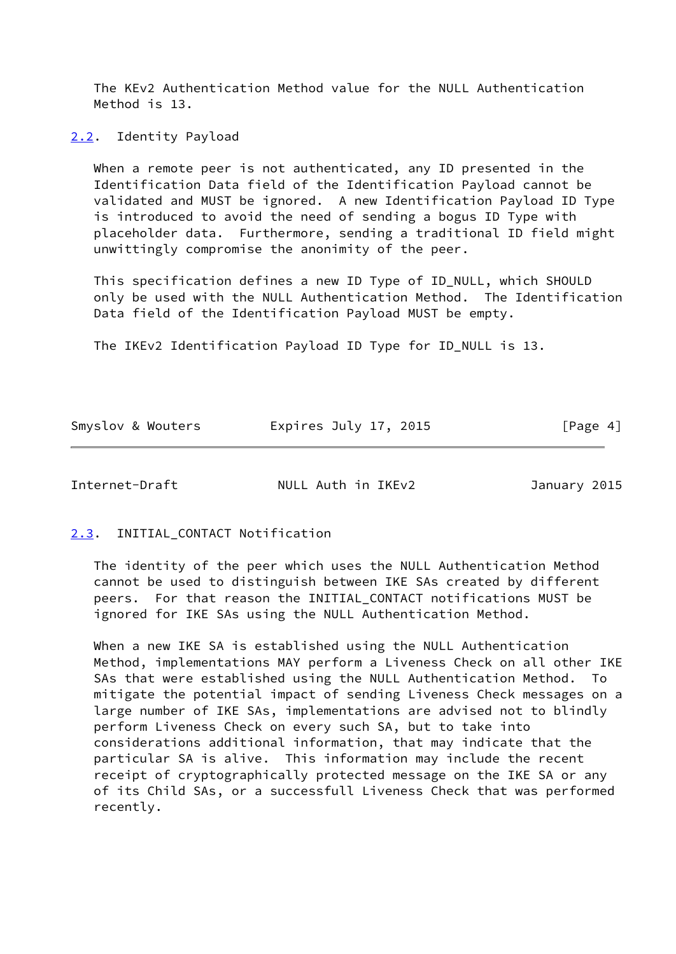The KEv2 Authentication Method value for the NULL Authentication Method is 13.

<span id="page-4-0"></span>[2.2](#page-4-0). Identity Payload

 When a remote peer is not authenticated, any ID presented in the Identification Data field of the Identification Payload cannot be validated and MUST be ignored. A new Identification Payload ID Type is introduced to avoid the need of sending a bogus ID Type with placeholder data. Furthermore, sending a traditional ID field might unwittingly compromise the anonimity of the peer.

 This specification defines a new ID Type of ID\_NULL, which SHOULD only be used with the NULL Authentication Method. The Identification Data field of the Identification Payload MUST be empty.

The IKEv2 Identification Payload ID Type for ID\_NULL is 13.

| Smyslov & Wouters | Expires July 17, 2015 | [Page 4] |
|-------------------|-----------------------|----------|
|                   |                       |          |

<span id="page-4-2"></span>Internet-Draft NULL Auth in IKEv2 January 2015

### <span id="page-4-1"></span>[2.3](#page-4-1). INITIAL CONTACT Notification

 The identity of the peer which uses the NULL Authentication Method cannot be used to distinguish between IKE SAs created by different peers. For that reason the INITIAL\_CONTACT notifications MUST be ignored for IKE SAs using the NULL Authentication Method.

 When a new IKE SA is established using the NULL Authentication Method, implementations MAY perform a Liveness Check on all other IKE SAs that were established using the NULL Authentication Method. To mitigate the potential impact of sending Liveness Check messages on a large number of IKE SAs, implementations are advised not to blindly perform Liveness Check on every such SA, but to take into considerations additional information, that may indicate that the particular SA is alive. This information may include the recent receipt of cryptographically protected message on the IKE SA or any of its Child SAs, or a successfull Liveness Check that was performed recently.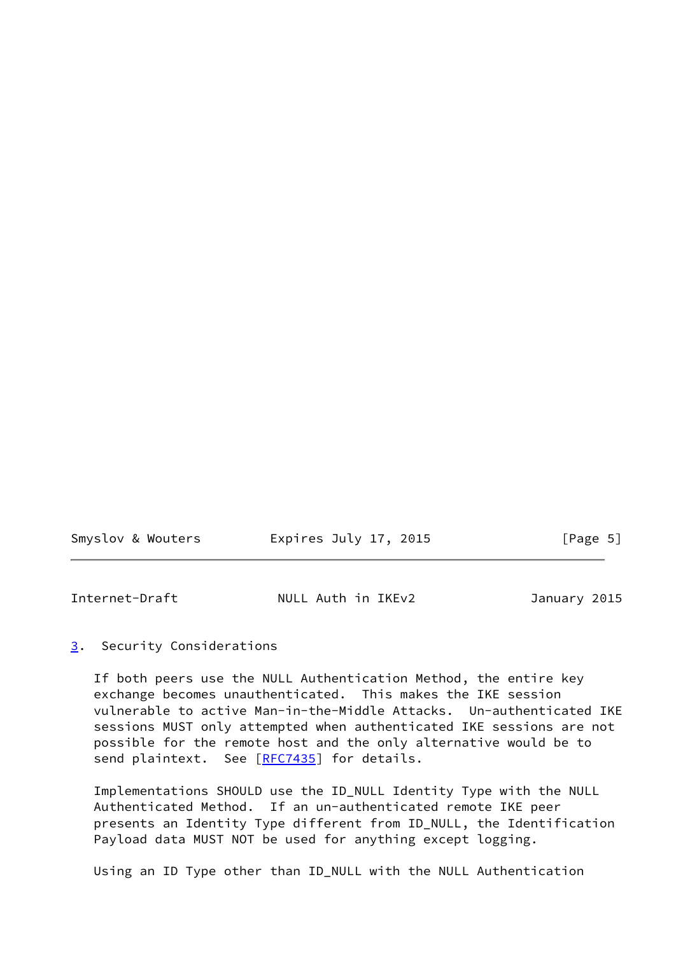| Smyslov & Wouters | Expires July 17, 2015 | [Page 5] |
|-------------------|-----------------------|----------|
|                   |                       |          |

<span id="page-5-1"></span>

| Internet-Draft | NULL Auth in IKEv2 | January 2015 |  |
|----------------|--------------------|--------------|--|
|                |                    |              |  |

#### <span id="page-5-0"></span>[3](#page-5-0). Security Considerations

 If both peers use the NULL Authentication Method, the entire key exchange becomes unauthenticated. This makes the IKE session vulnerable to active Man-in-the-Middle Attacks. Un-authenticated IKE sessions MUST only attempted when authenticated IKE sessions are not possible for the remote host and the only alternative would be to send plaintext. See [\[RFC7435](https://datatracker.ietf.org/doc/pdf/rfc7435)] for details.

 Implementations SHOULD use the ID\_NULL Identity Type with the NULL Authenticated Method. If an un-authenticated remote IKE peer presents an Identity Type different from ID\_NULL, the Identification Payload data MUST NOT be used for anything except logging.

Using an ID Type other than ID\_NULL with the NULL Authentication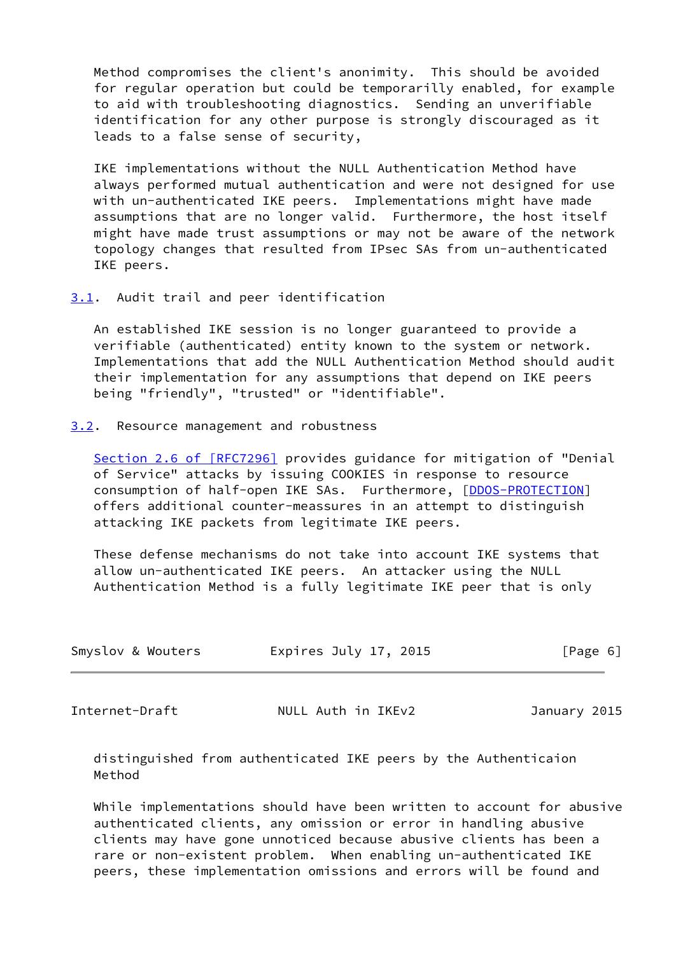Method compromises the client's anonimity. This should be avoided for regular operation but could be temporarilly enabled, for example to aid with troubleshooting diagnostics. Sending an unverifiable identification for any other purpose is strongly discouraged as it leads to a false sense of security,

 IKE implementations without the NULL Authentication Method have always performed mutual authentication and were not designed for use with un-authenticated IKE peers. Implementations might have made assumptions that are no longer valid. Furthermore, the host itself might have made trust assumptions or may not be aware of the network topology changes that resulted from IPsec SAs from un-authenticated IKE peers.

<span id="page-6-0"></span>[3.1](#page-6-0). Audit trail and peer identification

 An established IKE session is no longer guaranteed to provide a verifiable (authenticated) entity known to the system or network. Implementations that add the NULL Authentication Method should audit their implementation for any assumptions that depend on IKE peers being "friendly", "trusted" or "identifiable".

<span id="page-6-1"></span>[3.2](#page-6-1). Resource management and robustness

Section [2.6 of \[RFC7296\]](https://datatracker.ietf.org/doc/pdf/rfc7296#section-2.6) provides guidance for mitigation of "Denial of Service" attacks by issuing COOKIES in response to resource consumption of half-open IKE SAs. Furthermore, [\[DDOS-PROTECTION](#page-11-4)] offers additional counter-meassures in an attempt to distinguish attacking IKE packets from legitimate IKE peers.

 These defense mechanisms do not take into account IKE systems that allow un-authenticated IKE peers. An attacker using the NULL Authentication Method is a fully legitimate IKE peer that is only

| Smyslov & Wouters | Expires July 17, 2015 | [Page 6] |
|-------------------|-----------------------|----------|
|                   |                       |          |

<span id="page-6-2"></span>Internet-Draft NULL Auth in IKEv2 January 2015

 distinguished from authenticated IKE peers by the Authenticaion Method

 While implementations should have been written to account for abusive authenticated clients, any omission or error in handling abusive clients may have gone unnoticed because abusive clients has been a rare or non-existent problem. When enabling un-authenticated IKE peers, these implementation omissions and errors will be found and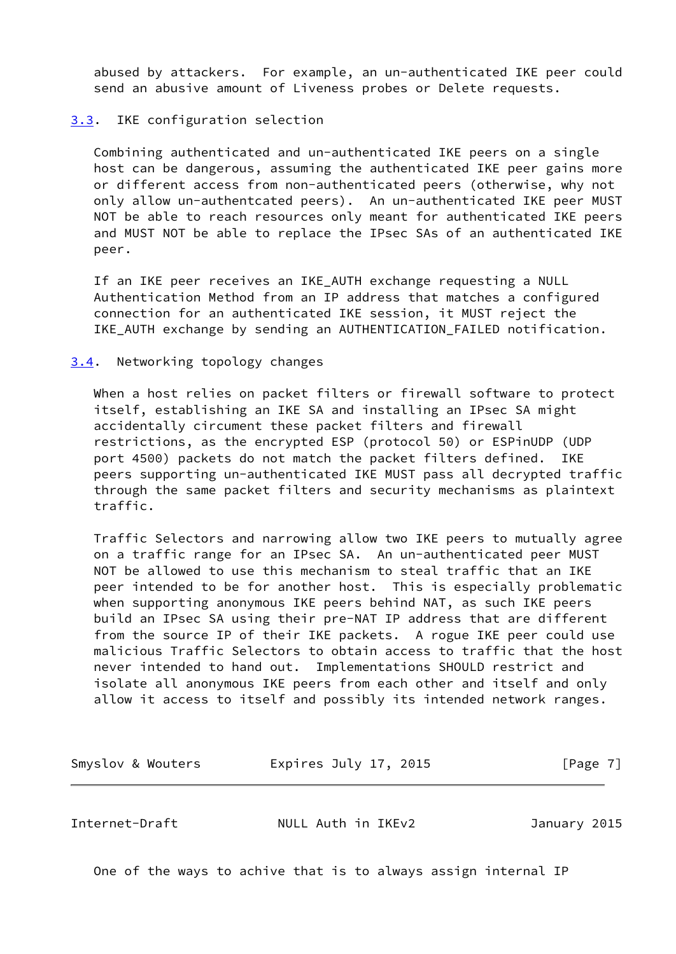abused by attackers. For example, an un-authenticated IKE peer could send an abusive amount of Liveness probes or Delete requests.

#### <span id="page-7-0"></span>[3.3](#page-7-0). IKE configuration selection

 Combining authenticated and un-authenticated IKE peers on a single host can be dangerous, assuming the authenticated IKE peer gains more or different access from non-authenticated peers (otherwise, why not only allow un-authentcated peers). An un-authenticated IKE peer MUST NOT be able to reach resources only meant for authenticated IKE peers and MUST NOT be able to replace the IPsec SAs of an authenticated IKE peer.

 If an IKE peer receives an IKE\_AUTH exchange requesting a NULL Authentication Method from an IP address that matches a configured connection for an authenticated IKE session, it MUST reject the IKE\_AUTH exchange by sending an AUTHENTICATION\_FAILED notification.

#### <span id="page-7-1"></span>[3.4](#page-7-1). Networking topology changes

 When a host relies on packet filters or firewall software to protect itself, establishing an IKE SA and installing an IPsec SA might accidentally circument these packet filters and firewall restrictions, as the encrypted ESP (protocol 50) or ESPinUDP (UDP port 4500) packets do not match the packet filters defined. IKE peers supporting un-authenticated IKE MUST pass all decrypted traffic through the same packet filters and security mechanisms as plaintext traffic.

 Traffic Selectors and narrowing allow two IKE peers to mutually agree on a traffic range for an IPsec SA. An un-authenticated peer MUST NOT be allowed to use this mechanism to steal traffic that an IKE peer intended to be for another host. This is especially problematic when supporting anonymous IKE peers behind NAT, as such IKE peers build an IPsec SA using their pre-NAT IP address that are different from the source IP of their IKE packets. A rogue IKE peer could use malicious Traffic Selectors to obtain access to traffic that the host never intended to hand out. Implementations SHOULD restrict and isolate all anonymous IKE peers from each other and itself and only allow it access to itself and possibly its intended network ranges.

Smyslov & Wouters **Expires July 17, 2015** [Page 7]

<span id="page-7-2"></span>Internet-Draft NULL Auth in IKEv2 January 2015

One of the ways to achive that is to always assign internal IP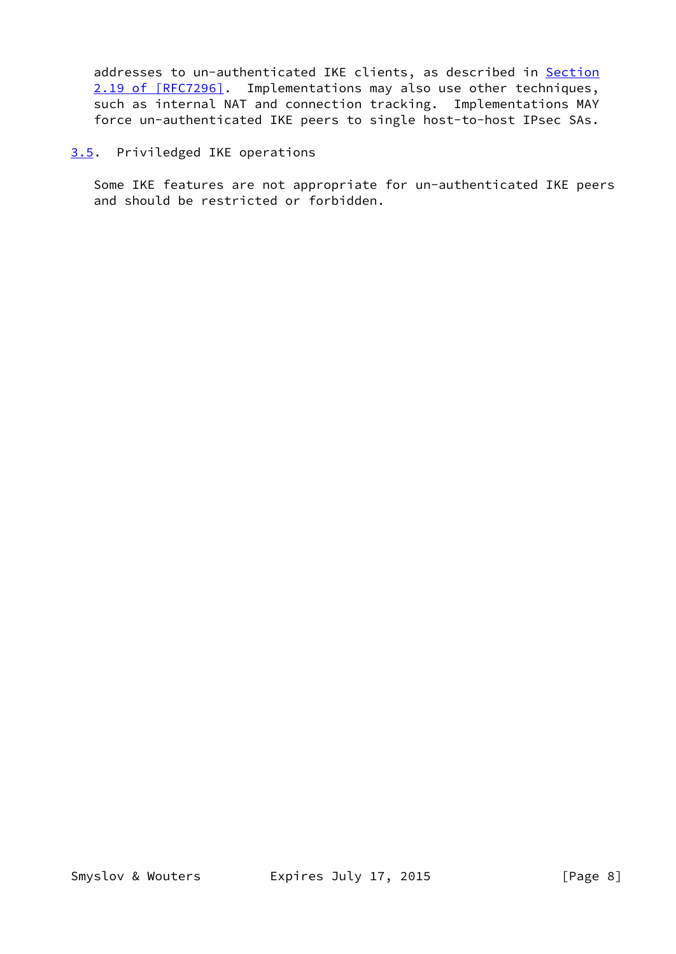addresses to un-authenticated IKE clients, as described in [Section](https://datatracker.ietf.org/doc/pdf/rfc7296#section-2.19) [2.19 of \[RFC7296\]](https://datatracker.ietf.org/doc/pdf/rfc7296#section-2.19). Implementations may also use other techniques, such as internal NAT and connection tracking. Implementations MAY force un-authenticated IKE peers to single host-to-host IPsec SAs.

### <span id="page-8-0"></span>[3.5](#page-8-0). Priviledged IKE operations

 Some IKE features are not appropriate for un-authenticated IKE peers and should be restricted or forbidden.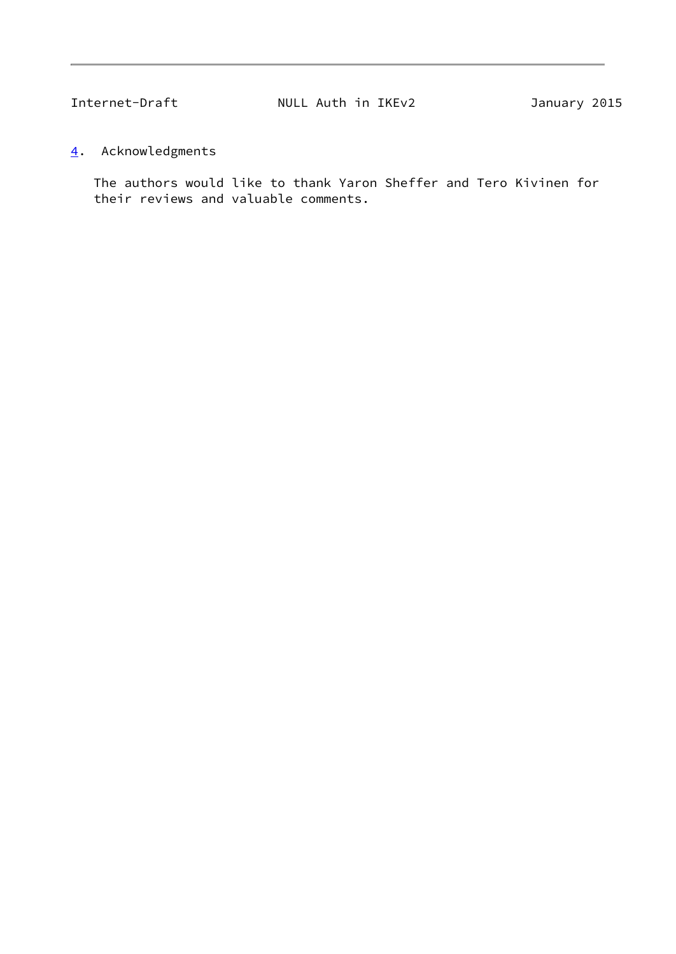<span id="page-9-1"></span>

## <span id="page-9-0"></span>[4](#page-9-0). Acknowledgments

 The authors would like to thank Yaron Sheffer and Tero Kivinen for their reviews and valuable comments.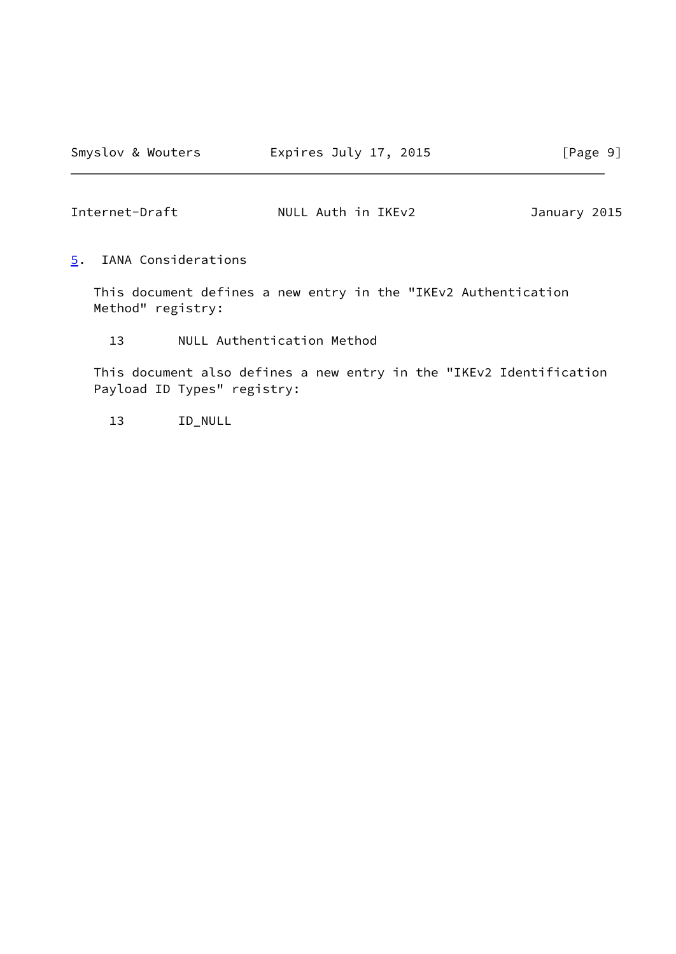<span id="page-10-1"></span>Internet-Draft NULL Auth in IKEv2 January 2015

<span id="page-10-0"></span>[5](#page-10-0). IANA Considerations

 This document defines a new entry in the "IKEv2 Authentication Method" registry:

13 NULL Authentication Method

 This document also defines a new entry in the "IKEv2 Identification Payload ID Types" registry:

13 ID\_NULL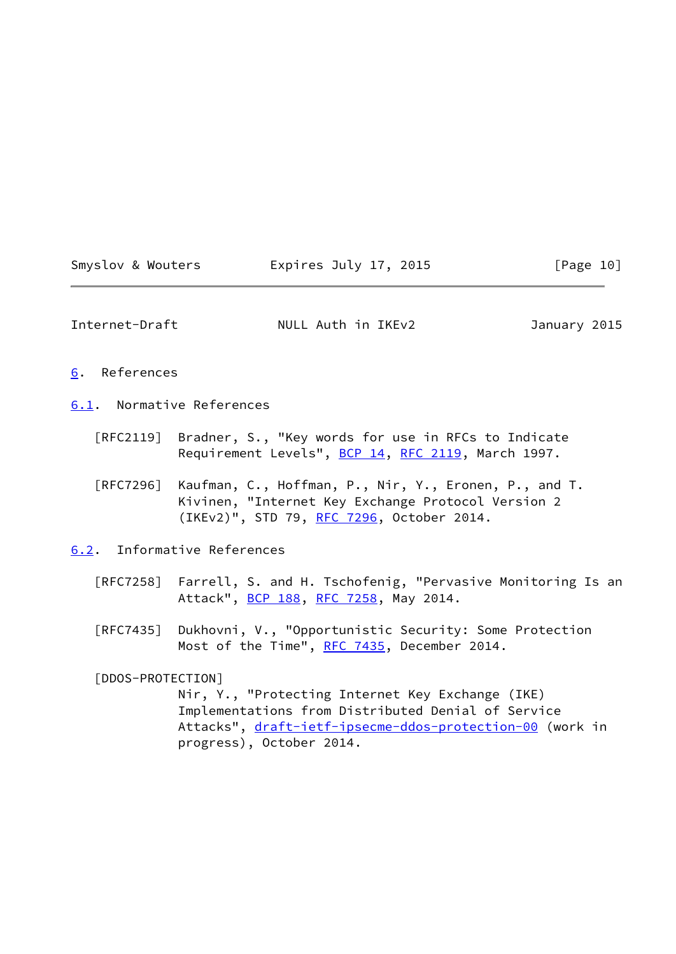<span id="page-11-4"></span><span id="page-11-3"></span><span id="page-11-2"></span><span id="page-11-1"></span><span id="page-11-0"></span>

| Smyslov & Wouters                | Expires July 17, 2015                                                                                                                                                                          | [Page 10]    |
|----------------------------------|------------------------------------------------------------------------------------------------------------------------------------------------------------------------------------------------|--------------|
| Internet-Draft                   | NULL Auth in IKEv2                                                                                                                                                                             | January 2015 |
| 6. References                    |                                                                                                                                                                                                |              |
| 6.1. Normative References        |                                                                                                                                                                                                |              |
| $\lceil \mathsf{RFC2119} \rceil$ | Bradner, S., "Key words for use in RFCs to Indicate<br>Requirement Levels", BCP 14, RFC 2119, March 1997.                                                                                      |              |
| [RFC7296]                        | Kaufman, C., Hoffman, P., Nir, Y., Eronen, P., and T.<br>Kivinen, "Internet Key Exchange Protocol Version 2<br>(IKEv2)", STD 79, RFC 7296, October 2014.                                       |              |
|                                  | 6.2. Informative References                                                                                                                                                                    |              |
| [RFC7258]                        | Farrell, S. and H. Tschofenig, "Pervasive Monitoring Is an<br>Attack", BCP 188, RFC 7258, May 2014.                                                                                            |              |
| [RFC7435]                        | Dukhovni, V., "Opportunistic Security: Some Protection<br>Most of the Time", RFC 7435, December 2014.                                                                                          |              |
| [DDOS-PROTECTION]                | Nir, Y., "Protecting Internet Key Exchange (IKE)<br>Implementations from Distributed Denial of Service<br>Attacks", draft-ietf-ipsecme-ddos-protection-00 (work in<br>progress), October 2014. |              |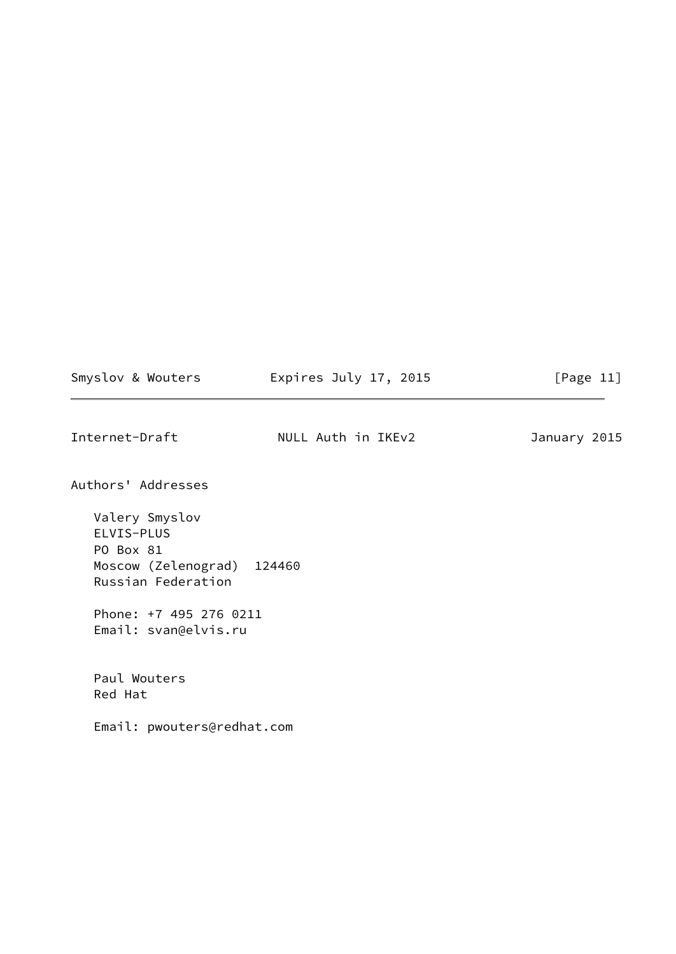Smyslov & Wouters **Expires July 17, 2015** [Page 11]

<span id="page-12-0"></span>Internet-Draft NULL Auth in IKEv2 January 2015

Authors' Addresses

 Valery Smyslov ELVIS-PLUS PO Box 81 Moscow (Zelenograd) 124460 Russian Federation

 Phone: +7 495 276 0211 Email: svan@elvis.ru

 Paul Wouters Red Hat

Email: pwouters@redhat.com